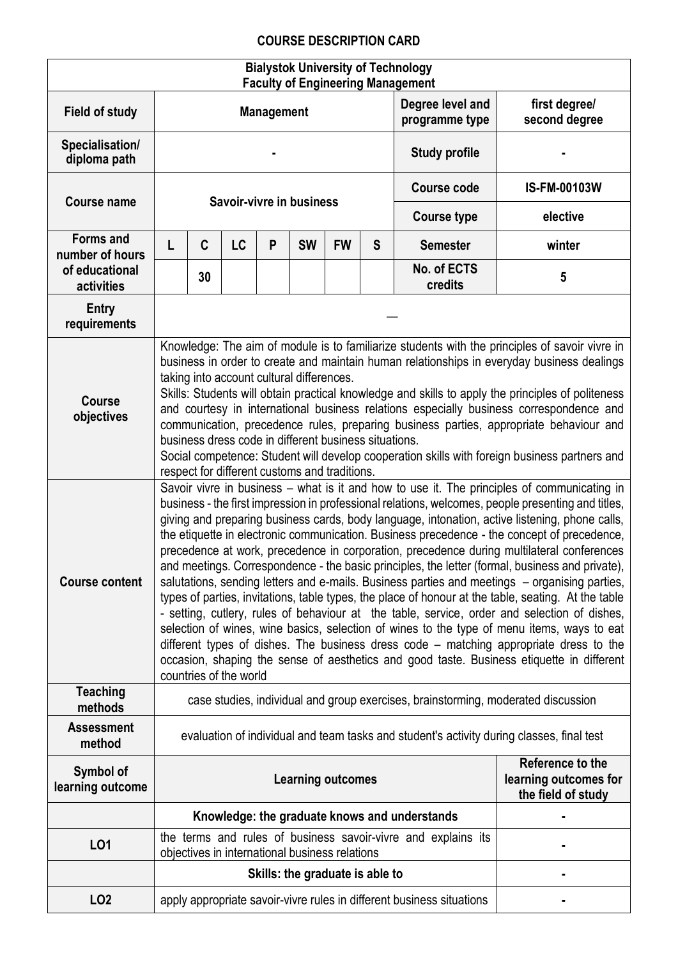## **COURSE DESCRIPTION CARD**

| <b>Bialystok University of Technology</b><br><b>Faculty of Engineering Management</b> |                                                                                                                                                                                                                                                                                                                                                                                                                                                                                                                                                                                                                                                                                                                                                                                                                                                                                                                                                                                                                                                                                                                                                                                                                                                                                                                                                                                                                                                                                                                                                                                                                                                                                                                                                                                                                                                                                                                                                                             |    |    |                   |                                                |           |   |                                                                       |                                                                 |  |  |
|---------------------------------------------------------------------------------------|-----------------------------------------------------------------------------------------------------------------------------------------------------------------------------------------------------------------------------------------------------------------------------------------------------------------------------------------------------------------------------------------------------------------------------------------------------------------------------------------------------------------------------------------------------------------------------------------------------------------------------------------------------------------------------------------------------------------------------------------------------------------------------------------------------------------------------------------------------------------------------------------------------------------------------------------------------------------------------------------------------------------------------------------------------------------------------------------------------------------------------------------------------------------------------------------------------------------------------------------------------------------------------------------------------------------------------------------------------------------------------------------------------------------------------------------------------------------------------------------------------------------------------------------------------------------------------------------------------------------------------------------------------------------------------------------------------------------------------------------------------------------------------------------------------------------------------------------------------------------------------------------------------------------------------------------------------------------------------|----|----|-------------------|------------------------------------------------|-----------|---|-----------------------------------------------------------------------|-----------------------------------------------------------------|--|--|
| <b>Field of study</b>                                                                 |                                                                                                                                                                                                                                                                                                                                                                                                                                                                                                                                                                                                                                                                                                                                                                                                                                                                                                                                                                                                                                                                                                                                                                                                                                                                                                                                                                                                                                                                                                                                                                                                                                                                                                                                                                                                                                                                                                                                                                             |    |    | <b>Management</b> |                                                |           |   | Degree level and<br>programme type                                    | first degree/<br>second degree                                  |  |  |
| Specialisation/<br>diploma path                                                       |                                                                                                                                                                                                                                                                                                                                                                                                                                                                                                                                                                                                                                                                                                                                                                                                                                                                                                                                                                                                                                                                                                                                                                                                                                                                                                                                                                                                                                                                                                                                                                                                                                                                                                                                                                                                                                                                                                                                                                             |    |    |                   |                                                |           |   | <b>Study profile</b>                                                  |                                                                 |  |  |
| <b>Course name</b>                                                                    |                                                                                                                                                                                                                                                                                                                                                                                                                                                                                                                                                                                                                                                                                                                                                                                                                                                                                                                                                                                                                                                                                                                                                                                                                                                                                                                                                                                                                                                                                                                                                                                                                                                                                                                                                                                                                                                                                                                                                                             |    |    |                   | Savoir-vivre in business                       |           |   | <b>Course code</b><br><b>IS-FM-00103W</b>                             |                                                                 |  |  |
|                                                                                       |                                                                                                                                                                                                                                                                                                                                                                                                                                                                                                                                                                                                                                                                                                                                                                                                                                                                                                                                                                                                                                                                                                                                                                                                                                                                                                                                                                                                                                                                                                                                                                                                                                                                                                                                                                                                                                                                                                                                                                             |    |    |                   |                                                |           |   | <b>Course type</b>                                                    | elective                                                        |  |  |
| <b>Forms and</b><br>number of hours                                                   | L                                                                                                                                                                                                                                                                                                                                                                                                                                                                                                                                                                                                                                                                                                                                                                                                                                                                                                                                                                                                                                                                                                                                                                                                                                                                                                                                                                                                                                                                                                                                                                                                                                                                                                                                                                                                                                                                                                                                                                           | C  | LC | P                 | <b>SW</b>                                      | <b>FW</b> | S | <b>Semester</b>                                                       | winter                                                          |  |  |
| of educational<br>activities                                                          |                                                                                                                                                                                                                                                                                                                                                                                                                                                                                                                                                                                                                                                                                                                                                                                                                                                                                                                                                                                                                                                                                                                                                                                                                                                                                                                                                                                                                                                                                                                                                                                                                                                                                                                                                                                                                                                                                                                                                                             | 30 |    |                   |                                                |           |   | No. of ECTS<br>credits                                                | 5                                                               |  |  |
| <b>Entry</b><br>requirements                                                          |                                                                                                                                                                                                                                                                                                                                                                                                                                                                                                                                                                                                                                                                                                                                                                                                                                                                                                                                                                                                                                                                                                                                                                                                                                                                                                                                                                                                                                                                                                                                                                                                                                                                                                                                                                                                                                                                                                                                                                             |    |    |                   |                                                |           |   |                                                                       |                                                                 |  |  |
| <b>Course</b><br>objectives<br><b>Course content</b>                                  | Knowledge: The aim of module is to familiarize students with the principles of savoir vivre in<br>business in order to create and maintain human relationships in everyday business dealings<br>taking into account cultural differences.<br>Skills: Students will obtain practical knowledge and skills to apply the principles of politeness<br>and courtesy in international business relations especially business correspondence and<br>communication, precedence rules, preparing business parties, appropriate behaviour and<br>business dress code in different business situations.<br>Social competence: Student will develop cooperation skills with foreign business partners and<br>respect for different customs and traditions.<br>Savoir vivre in business – what is it and how to use it. The principles of communicating in<br>business - the first impression in professional relations, welcomes, people presenting and titles,<br>giving and preparing business cards, body language, intonation, active listening, phone calls,<br>the etiquette in electronic communication. Business precedence - the concept of precedence,<br>precedence at work, precedence in corporation, precedence during multilateral conferences<br>and meetings. Correspondence - the basic principles, the letter (formal, business and private),<br>salutations, sending letters and e-mails. Business parties and meetings – organising parties,<br>types of parties, invitations, table types, the place of honour at the table, seating. At the table<br>- setting, cutlery, rules of behaviour at the table, service, order and selection of dishes,<br>selection of wines, wine basics, selection of wines to the type of menu items, ways to eat<br>different types of dishes. The business dress code – matching appropriate dress to the<br>occasion, shaping the sense of aesthetics and good taste. Business etiquette in different<br>countries of the world |    |    |                   |                                                |           |   |                                                                       |                                                                 |  |  |
| <b>Teaching</b><br>methods                                                            | case studies, individual and group exercises, brainstorming, moderated discussion                                                                                                                                                                                                                                                                                                                                                                                                                                                                                                                                                                                                                                                                                                                                                                                                                                                                                                                                                                                                                                                                                                                                                                                                                                                                                                                                                                                                                                                                                                                                                                                                                                                                                                                                                                                                                                                                                           |    |    |                   |                                                |           |   |                                                                       |                                                                 |  |  |
| <b>Assessment</b><br>method                                                           | evaluation of individual and team tasks and student's activity during classes, final test                                                                                                                                                                                                                                                                                                                                                                                                                                                                                                                                                                                                                                                                                                                                                                                                                                                                                                                                                                                                                                                                                                                                                                                                                                                                                                                                                                                                                                                                                                                                                                                                                                                                                                                                                                                                                                                                                   |    |    |                   |                                                |           |   |                                                                       |                                                                 |  |  |
| Symbol of<br>learning outcome                                                         |                                                                                                                                                                                                                                                                                                                                                                                                                                                                                                                                                                                                                                                                                                                                                                                                                                                                                                                                                                                                                                                                                                                                                                                                                                                                                                                                                                                                                                                                                                                                                                                                                                                                                                                                                                                                                                                                                                                                                                             |    |    |                   | <b>Learning outcomes</b>                       |           |   |                                                                       | Reference to the<br>learning outcomes for<br>the field of study |  |  |
|                                                                                       |                                                                                                                                                                                                                                                                                                                                                                                                                                                                                                                                                                                                                                                                                                                                                                                                                                                                                                                                                                                                                                                                                                                                                                                                                                                                                                                                                                                                                                                                                                                                                                                                                                                                                                                                                                                                                                                                                                                                                                             |    |    |                   |                                                |           |   | Knowledge: the graduate knows and understands                         |                                                                 |  |  |
| LO1                                                                                   |                                                                                                                                                                                                                                                                                                                                                                                                                                                                                                                                                                                                                                                                                                                                                                                                                                                                                                                                                                                                                                                                                                                                                                                                                                                                                                                                                                                                                                                                                                                                                                                                                                                                                                                                                                                                                                                                                                                                                                             |    |    |                   | objectives in international business relations |           |   | the terms and rules of business savoir-vivre and explains its         |                                                                 |  |  |
|                                                                                       |                                                                                                                                                                                                                                                                                                                                                                                                                                                                                                                                                                                                                                                                                                                                                                                                                                                                                                                                                                                                                                                                                                                                                                                                                                                                                                                                                                                                                                                                                                                                                                                                                                                                                                                                                                                                                                                                                                                                                                             |    |    |                   | Skills: the graduate is able to                |           |   |                                                                       |                                                                 |  |  |
| LO <sub>2</sub>                                                                       |                                                                                                                                                                                                                                                                                                                                                                                                                                                                                                                                                                                                                                                                                                                                                                                                                                                                                                                                                                                                                                                                                                                                                                                                                                                                                                                                                                                                                                                                                                                                                                                                                                                                                                                                                                                                                                                                                                                                                                             |    |    |                   |                                                |           |   | apply appropriate savoir-vivre rules in different business situations |                                                                 |  |  |